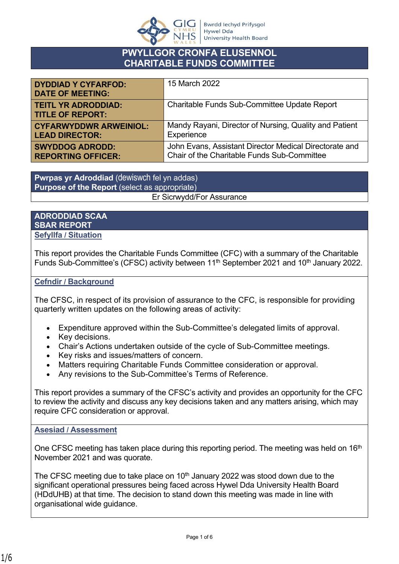

# **PWYLLGOR CRONFA ELUSENNOL CHARITABLE FUNDS COMMITTEE**

| <b>DYDDIAD Y CYFARFOD:</b><br><b>DATE OF MEETING:</b> | 15 March 2022                                          |
|-------------------------------------------------------|--------------------------------------------------------|
| <b>TEITL YR ADRODDIAD:</b><br><b>TITLE OF REPORT:</b> | Charitable Funds Sub-Committee Update Report           |
| <b>CYFARWYDDWR ARWEINIOL:</b>                         | Mandy Rayani, Director of Nursing, Quality and Patient |
| <b>LEAD DIRECTOR:</b>                                 | Experience                                             |
| <b>SWYDDOG ADRODD:</b>                                | John Evans, Assistant Director Medical Directorate and |
| <b>REPORTING OFFICER:</b>                             | Chair of the Charitable Funds Sub-Committee            |

**Pwrpas yr Adroddiad** (dewiswch fel yn addas) **Purpose of the Report** (select as appropriate) Er Sicrwydd/For Assurance

#### **ADRODDIAD SCAA SBAR REPORT Sefyllfa / Situation**

This report provides the Charitable Funds Committee (CFC) with a summary of the Charitable Funds Sub-Committee's (CFSC) activity between 11<sup>th</sup> September 2021 and 10<sup>th</sup> January 2022.

## **Cefndir / Background**

The CFSC, in respect of its provision of assurance to the CFC, is responsible for providing quarterly written updates on the following areas of activity:

- Expenditure approved within the Sub-Committee's delegated limits of approval.
- Key decisions.
- Chair's Actions undertaken outside of the cycle of Sub-Committee meetings.
- Key risks and issues/matters of concern.
- Matters requiring Charitable Funds Committee consideration or approval.
- Any revisions to the Sub-Committee's Terms of Reference.

This report provides a summary of the CFSC's activity and provides an opportunity for the CFC to review the activity and discuss any key decisions taken and any matters arising, which may require CFC consideration or approval.

#### **Asesiad / Assessment**

One CFSC meeting has taken place during this reporting period. The meeting was held on 16<sup>th</sup> November 2021 and was quorate.

The CFSC meeting due to take place on  $10<sup>th</sup>$  January 2022 was stood down due to the significant operational pressures being faced across Hywel Dda University Health Board (HDdUHB) at that time. The decision to stand down this meeting was made in line with organisational wide guidance.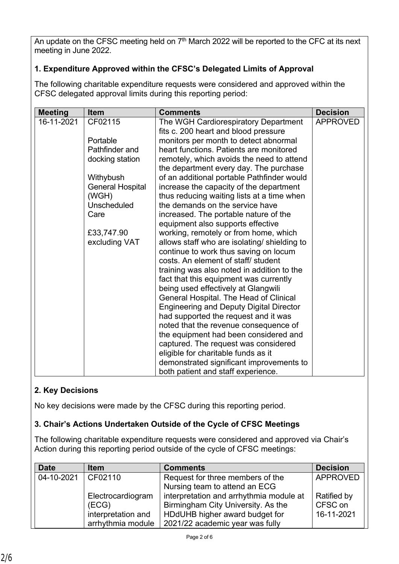An update on the CFSC meeting held on 7<sup>th</sup> March 2022 will be reported to the CFC at its next meeting in June 2022.

# **1. Expenditure Approved within the CFSC's Delegated Limits of Approval**

The following charitable expenditure requests were considered and approved within the CFSC delegated approval limits during this reporting period:

| <b>Meeting</b> | <b>Item</b>                                                                                      | <b>Comments</b>                                                                                                                                                                                                                                                                                                                                                                                                                                                                                                                                                                                                                                                                                                                   | <b>Decision</b> |
|----------------|--------------------------------------------------------------------------------------------------|-----------------------------------------------------------------------------------------------------------------------------------------------------------------------------------------------------------------------------------------------------------------------------------------------------------------------------------------------------------------------------------------------------------------------------------------------------------------------------------------------------------------------------------------------------------------------------------------------------------------------------------------------------------------------------------------------------------------------------------|-----------------|
| 16-11-2021     | CF02115<br>Portable<br>Pathfinder and<br>docking station<br>Withybush<br><b>General Hospital</b> | The WGH Cardiorespiratory Department<br>fits c. 200 heart and blood pressure<br>monitors per month to detect abnormal<br>heart functions. Patients are monitored<br>remotely, which avoids the need to attend<br>the department every day. The purchase<br>of an additional portable Pathfinder would<br>increase the capacity of the department                                                                                                                                                                                                                                                                                                                                                                                  | <b>APPROVED</b> |
|                | (WGH)<br><b>Unscheduled</b><br>Care<br>£33,747.90<br>excluding VAT                               | thus reducing waiting lists at a time when<br>the demands on the service have<br>increased. The portable nature of the<br>equipment also supports effective<br>working, remotely or from home, which<br>allows staff who are isolating/ shielding to<br>continue to work thus saving on locum<br>costs. An element of staff/ student<br>training was also noted in addition to the<br>fact that this equipment was currently<br>being used effectively at Glangwili<br>General Hospital. The Head of Clinical<br><b>Engineering and Deputy Digital Director</b><br>had supported the request and it was<br>noted that the revenue consequence of<br>the equipment had been considered and<br>captured. The request was considered |                 |
|                |                                                                                                  | eligible for charitable funds as it<br>demonstrated significant improvements to<br>both patient and staff experience.                                                                                                                                                                                                                                                                                                                                                                                                                                                                                                                                                                                                             |                 |

# **2. Key Decisions**

No key decisions were made by the CFSC during this reporting period.

## **3. Chair's Actions Undertaken Outside of the Cycle of CFSC Meetings**

The following charitable expenditure requests were considered and approved via Chair's Action during this reporting period outside of the cycle of CFSC meetings:

| <b>Date</b> | <b>Item</b>        | <b>Comments</b>                         | <b>Decision</b>    |
|-------------|--------------------|-----------------------------------------|--------------------|
| 04-10-2021  | CF02110            | Request for three members of the        | <b>APPROVED</b>    |
|             |                    | Nursing team to attend an ECG           |                    |
|             | Electrocardiogram  | interpretation and arrhythmia module at | <b>Ratified by</b> |
|             | (ECG)              | Birmingham City University. As the      | CFSC on            |
|             | interpretation and | HDdUHB higher award budget for          | 16-11-2021         |
|             | arrhythmia module  | 2021/22 academic year was fully         |                    |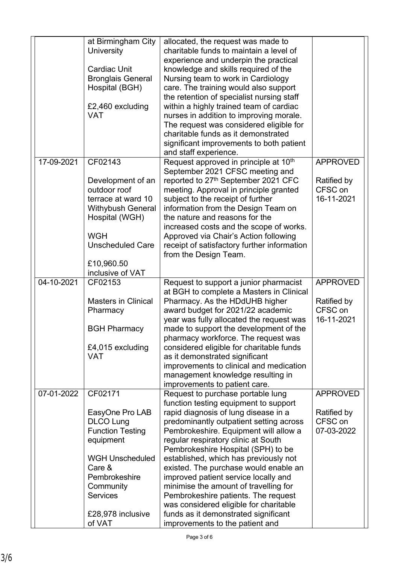|            | at Birmingham City<br>University<br><b>Cardiac Unit</b><br><b>Bronglais General</b><br>Hospital (BGH)<br>£2,460 excluding<br><b>VAT</b>                                                                    | allocated, the request was made to<br>charitable funds to maintain a level of<br>experience and underpin the practical<br>knowledge and skills required of the<br>Nursing team to work in Cardiology<br>care. The training would also support<br>the retention of specialist nursing staff<br>within a highly trained team of cardiac<br>nurses in addition to improving morale.<br>The request was considered eligible for                                                                                                                                                                                        |                                                         |
|------------|------------------------------------------------------------------------------------------------------------------------------------------------------------------------------------------------------------|--------------------------------------------------------------------------------------------------------------------------------------------------------------------------------------------------------------------------------------------------------------------------------------------------------------------------------------------------------------------------------------------------------------------------------------------------------------------------------------------------------------------------------------------------------------------------------------------------------------------|---------------------------------------------------------|
|            |                                                                                                                                                                                                            | charitable funds as it demonstrated<br>significant improvements to both patient<br>and staff experience.                                                                                                                                                                                                                                                                                                                                                                                                                                                                                                           |                                                         |
| 17-09-2021 | CF02143<br>Development of an<br>outdoor roof<br>terrace at ward 10<br><b>Withybush General</b><br>Hospital (WGH)<br><b>WGH</b><br><b>Unscheduled Care</b>                                                  | Request approved in principle at 10 <sup>th</sup><br>September 2021 CFSC meeting and<br>reported to 27th September 2021 CFC<br>meeting. Approval in principle granted<br>subject to the receipt of further<br>information from the Design Team on<br>the nature and reasons for the<br>increased costs and the scope of works.<br>Approved via Chair's Action following<br>receipt of satisfactory further information<br>from the Design Team.                                                                                                                                                                    | <b>APPROVED</b><br>Ratified by<br>CFSC on<br>16-11-2021 |
|            | £10,960.50<br>inclusive of VAT                                                                                                                                                                             |                                                                                                                                                                                                                                                                                                                                                                                                                                                                                                                                                                                                                    |                                                         |
| 04-10-2021 | CF02153<br><b>Masters in Clinical</b><br>Pharmacy<br><b>BGH Pharmacy</b><br>£4,015 excluding<br><b>VAT</b>                                                                                                 | Request to support a junior pharmacist<br>at BGH to complete a Masters in Clinical<br>Pharmacy. As the HDdUHB higher<br>award budget for 2021/22 academic<br>year was fully allocated the request was<br>made to support the development of the<br>pharmacy workforce. The request was<br>considered eligible for charitable funds<br>as it demonstrated significant<br>improvements to clinical and medication<br>management knowledge resulting in<br>improvements to patient care.                                                                                                                              | <b>APPROVED</b><br>Ratified by<br>CFSC on<br>16-11-2021 |
| 07-01-2022 | CF02171<br>EasyOne Pro LAB<br><b>DLCO Lung</b><br><b>Function Testing</b><br>equipment<br><b>WGH Unscheduled</b><br>Care &<br>Pembrokeshire<br>Community<br><b>Services</b><br>£28,978 inclusive<br>of VAT | Request to purchase portable lung<br>function testing equipment to support<br>rapid diagnosis of lung disease in a<br>predominantly outpatient setting across<br>Pembrokeshire. Equipment will allow a<br>regular respiratory clinic at South<br>Pembrokeshire Hospital (SPH) to be<br>established, which has previously not<br>existed. The purchase would enable an<br>improved patient service locally and<br>minimise the amount of travelling for<br>Pembrokeshire patients. The request<br>was considered eligible for charitable<br>funds as it demonstrated significant<br>improvements to the patient and | <b>APPROVED</b><br>Ratified by<br>CFSC on<br>07-03-2022 |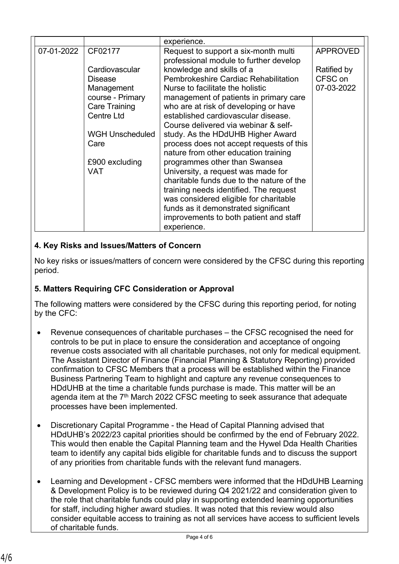| CF02177                |                                           | <b>APPROVED</b>                                                                                                                                                                                                                                                                                                                          |
|------------------------|-------------------------------------------|------------------------------------------------------------------------------------------------------------------------------------------------------------------------------------------------------------------------------------------------------------------------------------------------------------------------------------------|
|                        |                                           |                                                                                                                                                                                                                                                                                                                                          |
| Cardiovascular         |                                           | Ratified by                                                                                                                                                                                                                                                                                                                              |
| <b>Disease</b>         | Pembrokeshire Cardiac Rehabilitation      | CFSC on                                                                                                                                                                                                                                                                                                                                  |
| Management             | Nurse to facilitate the holistic          | 07-03-2022                                                                                                                                                                                                                                                                                                                               |
| course - Primary       | management of patients in primary care    |                                                                                                                                                                                                                                                                                                                                          |
| <b>Care Training</b>   | who are at risk of developing or have     |                                                                                                                                                                                                                                                                                                                                          |
| <b>Centre Ltd</b>      | established cardiovascular disease.       |                                                                                                                                                                                                                                                                                                                                          |
|                        | Course delivered via webinar & self-      |                                                                                                                                                                                                                                                                                                                                          |
| <b>WGH Unscheduled</b> | study. As the HDdUHB Higher Award         |                                                                                                                                                                                                                                                                                                                                          |
| Care                   | process does not accept requests of this  |                                                                                                                                                                                                                                                                                                                                          |
|                        |                                           |                                                                                                                                                                                                                                                                                                                                          |
|                        | programmes other than Swansea             |                                                                                                                                                                                                                                                                                                                                          |
| <b>VAT</b>             | University, a request was made for        |                                                                                                                                                                                                                                                                                                                                          |
|                        | charitable funds due to the nature of the |                                                                                                                                                                                                                                                                                                                                          |
|                        |                                           |                                                                                                                                                                                                                                                                                                                                          |
|                        |                                           |                                                                                                                                                                                                                                                                                                                                          |
|                        |                                           |                                                                                                                                                                                                                                                                                                                                          |
|                        |                                           |                                                                                                                                                                                                                                                                                                                                          |
|                        | experience.                               |                                                                                                                                                                                                                                                                                                                                          |
|                        | £900 excluding                            | experience.<br>Request to support a six-month multi<br>professional module to further develop<br>knowledge and skills of a<br>nature from other education training<br>training needs identified. The request<br>was considered eligible for charitable<br>funds as it demonstrated significant<br>improvements to both patient and staff |

## **4. Key Risks and Issues/Matters of Concern**

No key risks or issues/matters of concern were considered by the CFSC during this reporting period.

#### **5. Matters Requiring CFC Consideration or Approval**

The following matters were considered by the CFSC during this reporting period, for noting by the CFC:

- Revenue consequences of charitable purchases the CFSC recognised the need for controls to be put in place to ensure the consideration and acceptance of ongoing revenue costs associated with all charitable purchases, not only for medical equipment. The Assistant Director of Finance (Financial Planning & Statutory Reporting) provided confirmation to CFSC Members that a process will be established within the Finance Business Partnering Team to highlight and capture any revenue consequences to HDdUHB at the time a charitable funds purchase is made. This matter will be an agenda item at the 7<sup>th</sup> March 2022 CFSC meeting to seek assurance that adequate processes have been implemented.
- Discretionary Capital Programme the Head of Capital Planning advised that HDdUHB's 2022/23 capital priorities should be confirmed by the end of February 2022. This would then enable the Capital Planning team and the Hywel Dda Health Charities team to identify any capital bids eligible for charitable funds and to discuss the support of any priorities from charitable funds with the relevant fund managers.
- Learning and Development CFSC members were informed that the HDdUHB Learning & Development Policy is to be reviewed during Q4 2021/22 and consideration given to the role that charitable funds could play in supporting extended learning opportunities for staff, including higher award studies. It was noted that this review would also consider equitable access to training as not all services have access to sufficient levels of charitable funds.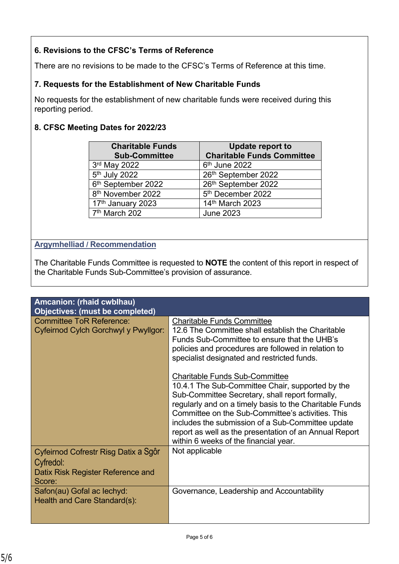## **6. Revisions to the CFSC's Terms of Reference**

There are no revisions to be made to the CFSC's Terms of Reference at this time.

## **7. Requests for the Establishment of New Charitable Funds**

No requests for the establishment of new charitable funds were received during this reporting period.

## **8. CFSC Meeting Dates for 2022/23**

| <b>Charitable Funds</b><br><b>Sub-Committee</b> | <b>Update report to</b><br><b>Charitable Funds Committee</b> |
|-------------------------------------------------|--------------------------------------------------------------|
| 3rd May 2022                                    | 6 <sup>th</sup> June 2022                                    |
| 5 <sup>th</sup> July 2022                       | 26th September 2022                                          |
| 6 <sup>th</sup> September 2022                  | 26th September 2022                                          |
| 8 <sup>th</sup> November 2022                   | 5 <sup>th</sup> December 2022                                |
| 17 <sup>th</sup> January 2023                   | 14th March 2023                                              |
| 7 <sup>th</sup> March 202                       | <b>June 2023</b>                                             |

## **Argymhelliad / Recommendation**

The Charitable Funds Committee is requested to **NOTE** the content of this report in respect of the Charitable Funds Sub-Committee's provision of assurance.

| Amcanion: (rhaid cwblhau)                                                                        |                                                                                                                                                                                                                                                                                                                                                                                                                      |
|--------------------------------------------------------------------------------------------------|----------------------------------------------------------------------------------------------------------------------------------------------------------------------------------------------------------------------------------------------------------------------------------------------------------------------------------------------------------------------------------------------------------------------|
| Objectives: (must be completed)                                                                  |                                                                                                                                                                                                                                                                                                                                                                                                                      |
| <b>Committee ToR Reference:</b><br>Cyfeirnod Cylch Gorchwyl y Pwyllgor:                          | <b>Charitable Funds Committee</b><br>12.6 The Committee shall establish the Charitable<br>Funds Sub-Committee to ensure that the UHB's<br>policies and procedures are followed in relation to<br>specialist designated and restricted funds.                                                                                                                                                                         |
|                                                                                                  | <b>Charitable Funds Sub-Committee</b><br>10.4.1 The Sub-Committee Chair, supported by the<br>Sub-Committee Secretary, shall report formally,<br>regularly and on a timely basis to the Charitable Funds<br>Committee on the Sub-Committee's activities. This<br>includes the submission of a Sub-Committee update<br>report as well as the presentation of an Annual Report<br>within 6 weeks of the financial year. |
| Cyfeirnod Cofrestr Risg Datix a Sgôr<br>Cyfredol:<br>Datix Risk Register Reference and<br>Score: | Not applicable                                                                                                                                                                                                                                                                                                                                                                                                       |
| Safon(au) Gofal ac lechyd:<br>Health and Care Standard(s):                                       | Governance, Leadership and Accountability                                                                                                                                                                                                                                                                                                                                                                            |